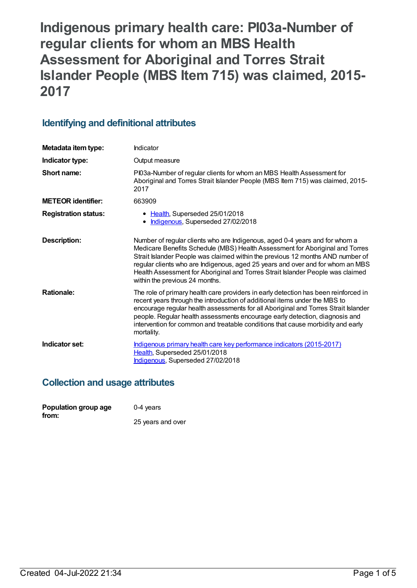**Indigenous primary health care: PI03a-Number of regular clients for whom an MBS Health Assessment for Aboriginal and Torres Strait Islander People (MBS Item 715) was claimed, 2015- 2017**

# **Identifying and definitional attributes**

| Metadata item type:         | Indicator                                                                                                                                                                                                                                                                                                                                                                                                                                           |
|-----------------------------|-----------------------------------------------------------------------------------------------------------------------------------------------------------------------------------------------------------------------------------------------------------------------------------------------------------------------------------------------------------------------------------------------------------------------------------------------------|
| Indicator type:             | Output measure                                                                                                                                                                                                                                                                                                                                                                                                                                      |
| Short name:                 | PI03a-Number of regular clients for whom an MBS Health Assessment for<br>Aboriginal and Torres Strait Islander People (MBS Item 715) was claimed, 2015-<br>2017                                                                                                                                                                                                                                                                                     |
| <b>METEOR identifier:</b>   | 663909                                                                                                                                                                                                                                                                                                                                                                                                                                              |
| <b>Registration status:</b> | • Health, Superseded 25/01/2018<br>• Indigenous, Superseded 27/02/2018                                                                                                                                                                                                                                                                                                                                                                              |
| Description:                | Number of regular clients who are Indigenous, aged 0-4 years and for whom a<br>Medicare Benefits Schedule (MBS) Health Assessment for Aboriginal and Torres<br>Strait Islander People was claimed within the previous 12 months AND number of<br>regular clients who are Indigenous, aged 25 years and over and for whom an MBS<br>Health Assessment for Aboriginal and Torres Strait Islander People was claimed<br>within the previous 24 months. |
| <b>Rationale:</b>           | The role of primary health care providers in early detection has been reinforced in<br>recent years through the introduction of additional items under the MBS to<br>encourage regular health assessments for all Aboriginal and Torres Strait Islander<br>people. Regular health assessments encourage early detection, diagnosis and<br>intervention for common and treatable conditions that cause morbidity and early<br>mortality.             |
| Indicator set:              | Indigenous primary health care key performance indicators (2015-2017)<br>Health, Superseded 25/01/2018<br>Indigenous, Superseded 27/02/2018                                                                                                                                                                                                                                                                                                         |

# **Collection and usage attributes**

| Population group age | 0-4 years         |  |
|----------------------|-------------------|--|
| from:                | 25 years and over |  |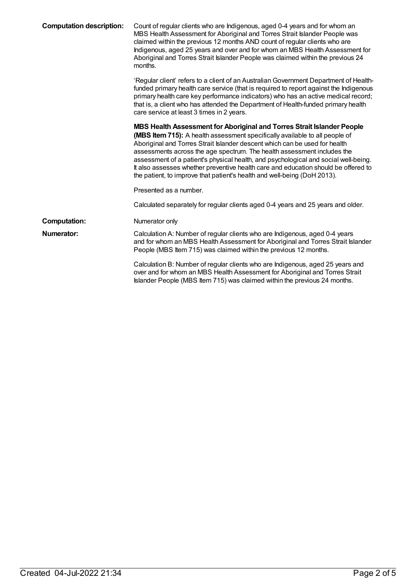| <b>Computation description:</b> | Count of regular clients who are Indigenous, aged 0-4 years and for whom an<br>MBS Health Assessment for Aboriginal and Torres Strait Islander People was<br>claimed within the previous 12 months AND count of regular clients who are<br>Indigenous, aged 25 years and over and for whom an MBS Health Assessment for<br>Aboriginal and Torres Strait Islander People was claimed within the previous 24<br>months.                                                                                                                                                   |
|---------------------------------|-------------------------------------------------------------------------------------------------------------------------------------------------------------------------------------------------------------------------------------------------------------------------------------------------------------------------------------------------------------------------------------------------------------------------------------------------------------------------------------------------------------------------------------------------------------------------|
|                                 | 'Regular client' refers to a client of an Australian Government Department of Health-<br>funded primary health care service (that is required to report against the Indigenous<br>primary health care key performance indicators) who has an active medical record;<br>that is, a client who has attended the Department of Health-funded primary health<br>care service at least 3 times in 2 years.                                                                                                                                                                   |
|                                 | MBS Health Assessment for Aboriginal and Torres Strait Islander People<br>(MBS Item 715): A health assessment specifically available to all people of<br>Aboriginal and Torres Strait Islander descent which can be used for health<br>assessments across the age spectrum. The health assessment includes the<br>assessment of a patient's physical health, and psychological and social well-being.<br>It also assesses whether preventive health care and education should be offered to<br>the patient, to improve that patient's health and well-being (DoH 2013). |
|                                 | Presented as a number.                                                                                                                                                                                                                                                                                                                                                                                                                                                                                                                                                  |
|                                 | Calculated separately for regular clients aged 0-4 years and 25 years and older.                                                                                                                                                                                                                                                                                                                                                                                                                                                                                        |
| <b>Computation:</b>             | Numerator only                                                                                                                                                                                                                                                                                                                                                                                                                                                                                                                                                          |
| Numerator:                      | Calculation A: Number of regular clients who are Indigenous, aged 0-4 years<br>and for whom an MBS Health Assessment for Aboriginal and Torres Strait Islander<br>People (MBS Item 715) was claimed within the previous 12 months.                                                                                                                                                                                                                                                                                                                                      |
|                                 | Calculation B: Number of regular clients who are Indigenous, aged 25 years and<br>over and for whom an MBS Health Assessment for Aboriginal and Torres Strait<br>Islander People (MBS Item 715) was claimed within the previous 24 months.                                                                                                                                                                                                                                                                                                                              |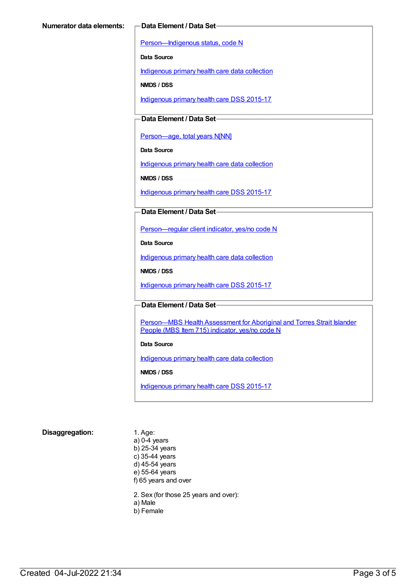[Person—Indigenous](https://meteor.aihw.gov.au/content/291036) status, code N

**Data Source**

[Indigenous](https://meteor.aihw.gov.au/content/430643) primary health care data collection

**NMDS / DSS**

[Indigenous](https://meteor.aihw.gov.au/content/585036) primary health care DSS 2015-17

## **Data Element / Data Set**

[Person—age,](https://meteor.aihw.gov.au/content/303794) total years N[NN]

**Data Source**

[Indigenous](https://meteor.aihw.gov.au/content/430643) primary health care data collection

**NMDS / DSS**

[Indigenous](https://meteor.aihw.gov.au/content/585036) primary health care DSS 2015-17

### **Data Element / Data Set**

[Person—regular](https://meteor.aihw.gov.au/content/436639) client indicator, yes/no code N

**Data Source**

[Indigenous](https://meteor.aihw.gov.au/content/430643) primary health care data collection

**NMDS / DSS**

[Indigenous](https://meteor.aihw.gov.au/content/585036) primary health care DSS 2015-17

### **Data Element / Data Set**

Person-MBS Health Assessment for Aboriginal and Torres Strait Islander People (MBS Item 715) indicator, yes/no code N

### **Data Source**

[Indigenous](https://meteor.aihw.gov.au/content/430643) primary health care data collection

**NMDS / DSS**

[Indigenous](https://meteor.aihw.gov.au/content/585036) primary health care DSS 2015-17

### **Disaggregation:** 1. Age:

- a) 0-4 years b) 25-34 years
- c) 35-44 years
- d) 45-54 years
- e) 55-64 years
- f) 65 years and over
- 2. Sex (for those 25 years and over):
- a) Male
- b) Female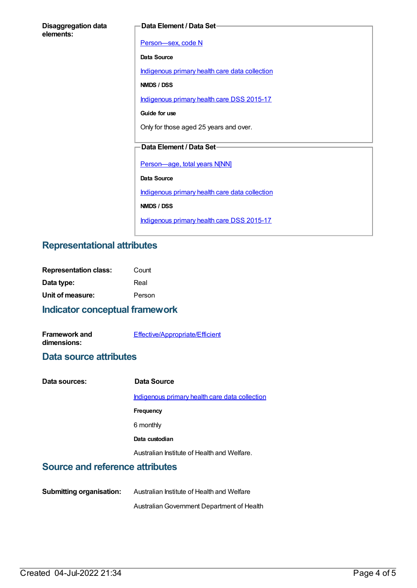| <b>Disaggregation data</b> |  |
|----------------------------|--|
| elements:                  |  |

### **Data Element / Data Set**

[Person—sex,](https://meteor.aihw.gov.au/content/287316) code N **Data Source** [Indigenous](https://meteor.aihw.gov.au/content/430643) primary health care data collection **NMDS / DSS** [Indigenous](https://meteor.aihw.gov.au/content/585036) primary health care DSS 2015-17 **Guide for use** Only for those aged 25 years and over. **Data Element / Data Set** [Person—age,](https://meteor.aihw.gov.au/content/303794) total years N[NN] **Data Source** [Indigenous](https://meteor.aihw.gov.au/content/430643) primary health care data collection **NMDS / DSS** [Indigenous](https://meteor.aihw.gov.au/content/585036) primary health care DSS 2015-17

## **Representational attributes**

| <b>Representation class:</b> | Count  |
|------------------------------|--------|
| Data type:                   | Real   |
| Unit of measure:             | Person |

## **Indicator conceptual framework**

| <b>Framework and</b> | Effective/Appropriate/Efficient |
|----------------------|---------------------------------|
| dimensions:          |                                 |

## **Data source attributes**

| Data sources: | Data Source                                           |
|---------------|-------------------------------------------------------|
|               | <u>Indigenous primary health care data collection</u> |
|               | <b>Frequency</b>                                      |
|               | 6 monthly                                             |
|               | Data custodian                                        |
|               | Australian Institute of Health and Welfare.           |
|               |                                                       |

## **Source and reference attributes**

**Submitting organisation:** Australian Institute of Health and Welfare

AustralianGovernment Department of Health